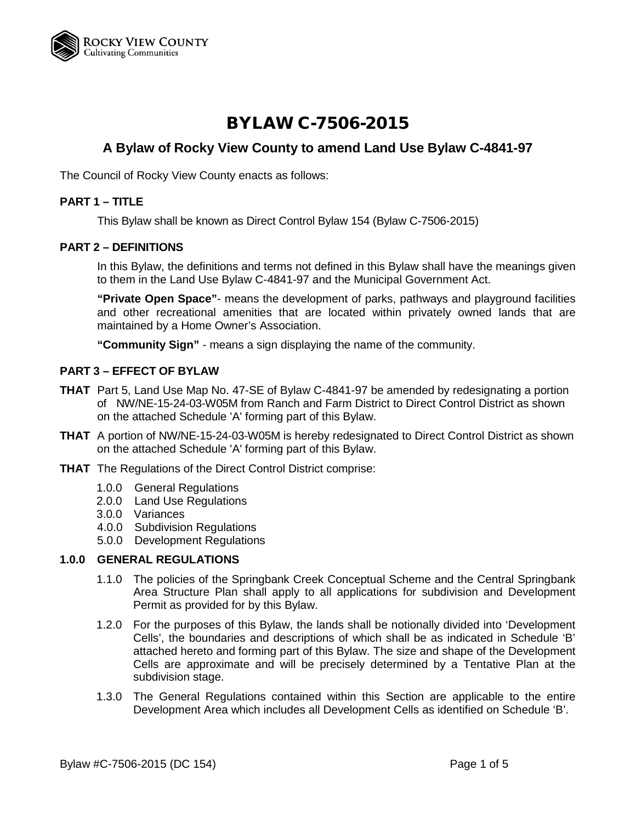

# BYLAW C-7506-2015

# **A Bylaw of Rocky View County to amend Land Use Bylaw C-4841-97**

The Council of Rocky View County enacts as follows:

# **PART 1 – TITLE**

This Bylaw shall be known as Direct Control Bylaw 154 (Bylaw C-7506-2015)

#### **PART 2 – DEFINITIONS**

In this Bylaw, the definitions and terms not defined in this Bylaw shall have the meanings given to them in the Land Use Bylaw C-4841-97 and the Municipal Government Act.

**"Private Open Space"**- means the development of parks, pathways and playground facilities and other recreational amenities that are located within privately owned lands that are maintained by a Home Owner's Association.

**"Community Sign"** - means a sign displaying the name of the community.

# **PART 3 – EFFECT OF BYLAW**

- **THAT** Part 5, Land Use Map No. 47-SE of Bylaw C-4841-97 be amended by redesignating a portion of NW/NE-15-24-03-W05M from Ranch and Farm District to Direct Control District as shown on the attached Schedule 'A' forming part of this Bylaw.
- **THAT** A portion of NW/NE-15-24-03-W05M is hereby redesignated to Direct Control District as shown on the attached Schedule 'A' forming part of this Bylaw.
- **THAT** The Regulations of the Direct Control District comprise:
	- 1.0.0 General Regulations
	- 2.0.0 Land Use Regulations
	- 3.0.0 Variances
	- 4.0.0 Subdivision Regulations
	- 5.0.0 Development Regulations

#### **1.0.0 GENERAL REGULATIONS**

- 1.1.0 The policies of the Springbank Creek Conceptual Scheme and the Central Springbank Area Structure Plan shall apply to all applications for subdivision and Development Permit as provided for by this Bylaw.
- 1.2.0 For the purposes of this Bylaw, the lands shall be notionally divided into 'Development Cells', the boundaries and descriptions of which shall be as indicated in Schedule 'B' attached hereto and forming part of this Bylaw. The size and shape of the Development Cells are approximate and will be precisely determined by a Tentative Plan at the subdivision stage.
- 1.3.0 The General Regulations contained within this Section are applicable to the entire Development Area which includes all Development Cells as identified on Schedule 'B'.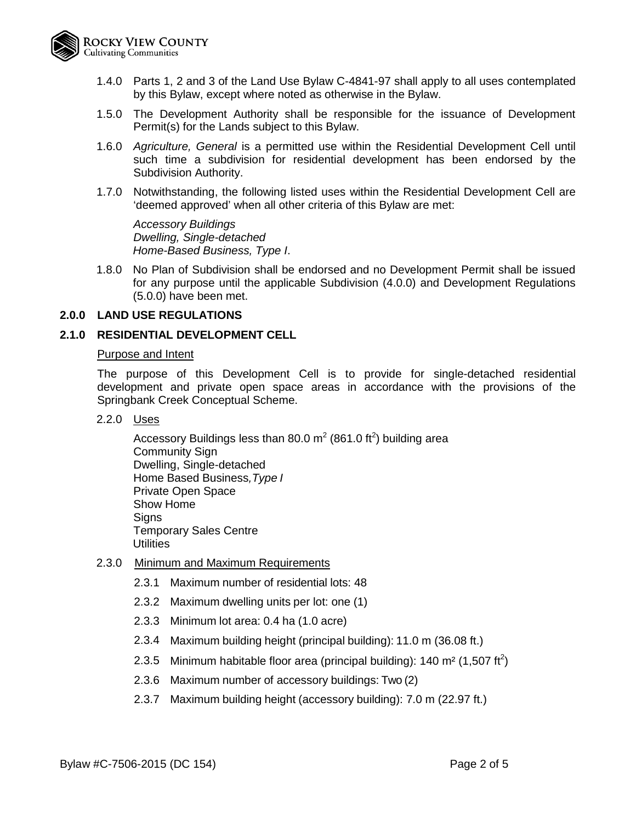

- 1.4.0 Parts 1, 2 and 3 of the Land Use Bylaw C-4841-97 shall apply to all uses contemplated by this Bylaw, except where noted as otherwise in the Bylaw.
- 1.5.0 The Development Authority shall be responsible for the issuance of Development Permit(s) for the Lands subject to this Bylaw.
- 1.6.0 *Agriculture, General* is a permitted use within the Residential Development Cell until such time a subdivision for residential development has been endorsed by the Subdivision Authority.
- 1.7.0 Notwithstanding, the following listed uses within the Residential Development Cell are 'deemed approved' when all other criteria of this Bylaw are met:

*Accessory Buildings Dwelling, Single-detached Home-Based Business, Type I*.

1.8.0 No Plan of Subdivision shall be endorsed and no Development Permit shall be issued for any purpose until the applicable Subdivision (4.0.0) and Development Regulations (5.0.0) have been met.

# **2.0.0 LAND USE REGULATIONS**

#### **2.1.0 RESIDENTIAL DEVELOPMENT CELL**

#### Purpose and Intent

The purpose of this Development Cell is to provide for single-detached residential development and private open space areas in accordance with the provisions of the Springbank Creek Conceptual Scheme.

2.2.0 Uses

Accessory Buildings less than 80.0 m<sup>2</sup> (861.0 ft<sup>2</sup>) building area Community Sign Dwelling, Single-detached Home Based Business*,Type I* Private Open Space Show Home **Signs** Temporary Sales Centre **Utilities** 

- 2.3.0 Minimum and Maximum Requirements
	- 2.3.1 Maximum number of residential lots: 48
	- 2.3.2 Maximum dwelling units per lot: one (1)
	- 2.3.3 Minimum lot area: 0.4 ha (1.0 acre)
	- 2.3.4 Maximum building height (principal building): 11.0 m (36.08 ft.)
	- 2.3.5 Minimum habitable floor area (principal building): 140 m<sup>2</sup> (1,507 ft<sup>2</sup>)
	- 2.3.6 Maximum number of accessory buildings: Two (2)
	- 2.3.7 Maximum building height (accessory building): 7.0 m (22.97 ft.)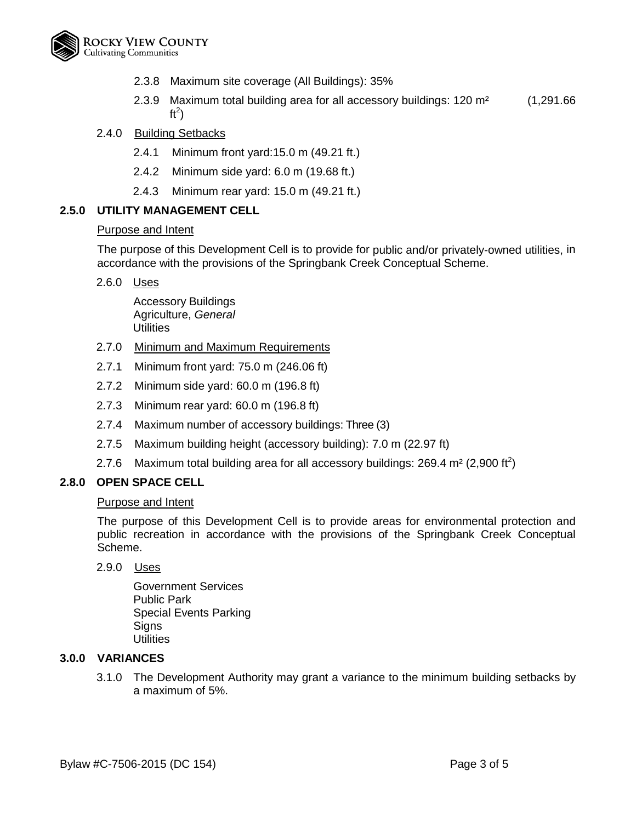

- 2.3.8 Maximum site coverage (All Buildings): 35%
- 2.3.9 Maximum total building area for all accessory buildings: 120 m² (1,291.66 ft<sup>2</sup>)

# 2.4.0 Building Setbacks

- 2.4.1 Minimum front yard:15.0 m (49.21 ft.)
- 2.4.2 Minimum side yard: 6.0 m (19.68 ft.)
- 2.4.3 Minimum rear yard: 15.0 m (49.21 ft.)

# **2.5.0 UTILITY MANAGEMENT CELL**

#### Purpose and Intent

The purpose of this Development Cell is to provide for public and/or privately-owned utilities, in accordance with the provisions of the Springbank Creek Conceptual Scheme.

2.6.0 Uses

Accessory Buildings Agriculture, *General* Utilities

- 2.7.0 Minimum and Maximum Requirements
- 2.7.1 Minimum front yard: 75.0 m (246.06 ft)
- 2.7.2 Minimum side yard: 60.0 m (196.8 ft)
- 2.7.3 Minimum rear yard: 60.0 m (196.8 ft)
- 2.7.4 Maximum number of accessory buildings: Three (3)
- 2.7.5 Maximum building height (accessory building): 7.0 m (22.97 ft)
- 2.7.6 Maximum total building area for all accessory buildings: 269.4 m<sup>2</sup> (2,900 ft<sup>2</sup>)

#### **2.8.0 OPEN SPACE CELL**

# Purpose and Intent

The purpose of this Development Cell is to provide areas for environmental protection and public recreation in accordance with the provisions of the Springbank Creek Conceptual Scheme.

2.9.0 Uses

Government Services Public Park Special Events Parking **Signs Utilities** 

#### **3.0.0 VARIANCES**

3.1.0 The Development Authority may grant a variance to the minimum building setbacks by a maximum of 5%.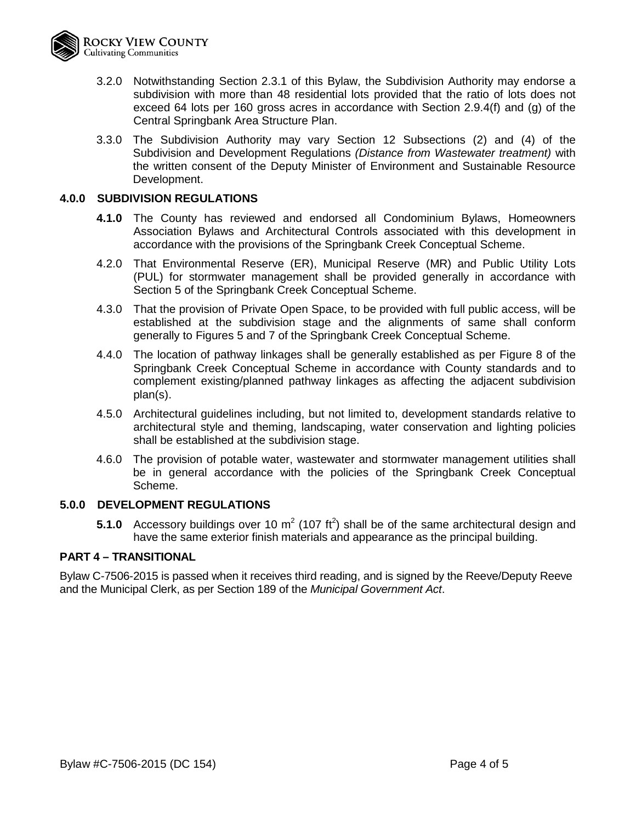- 3.2.0 Notwithstanding Section 2.3.1 of this Bylaw, the Subdivision Authority may endorse a subdivision with more than 48 residential lots provided that the ratio of lots does not exceed 64 lots per 160 gross acres in accordance with Section 2.9.4(f) and (g) of the Central Springbank Area Structure Plan.
- 3.3.0 The Subdivision Authority may vary Section 12 Subsections (2) and (4) of the Subdivision and Development Regulations *(Distance from Wastewater treatment)* with the written consent of the Deputy Minister of Environment and Sustainable Resource Development.

# **4.0.0 SUBDIVISION REGULATIONS**

- **4.1.0** The County has reviewed and endorsed all Condominium Bylaws, Homeowners Association Bylaws and Architectural Controls associated with this development in accordance with the provisions of the Springbank Creek Conceptual Scheme.
- 4.2.0 That Environmental Reserve (ER), Municipal Reserve (MR) and Public Utility Lots (PUL) for stormwater management shall be provided generally in accordance with Section 5 of the Springbank Creek Conceptual Scheme.
- 4.3.0 That the provision of Private Open Space, to be provided with full public access, will be established at the subdivision stage and the alignments of same shall conform generally to Figures 5 and 7 of the Springbank Creek Conceptual Scheme.
- 4.4.0 The location of pathway linkages shall be generally established as per Figure 8 of the Springbank Creek Conceptual Scheme in accordance with County standards and to complement existing/planned pathway linkages as affecting the adjacent subdivision plan(s).
- 4.5.0 Architectural guidelines including, but not limited to, development standards relative to architectural style and theming, landscaping, water conservation and lighting policies shall be established at the subdivision stage.
- 4.6.0 The provision of potable water, wastewater and stormwater management utilities shall be in general accordance with the policies of the Springbank Creek Conceptual Scheme.

# **5.0.0 DEVELOPMENT REGULATIONS**

**5.1.0** Accessory buildings over 10  $m^2$  (107 ft<sup>2</sup>) shall be of the same architectural design and have the same exterior finish materials and appearance as the principal building.

#### **PART 4 – TRANSITIONAL**

Bylaw C-7506-2015 is passed when it receives third reading, and is signed by the Reeve/Deputy Reeve and the Municipal Clerk, as per Section 189 of the *Municipal Government Act*.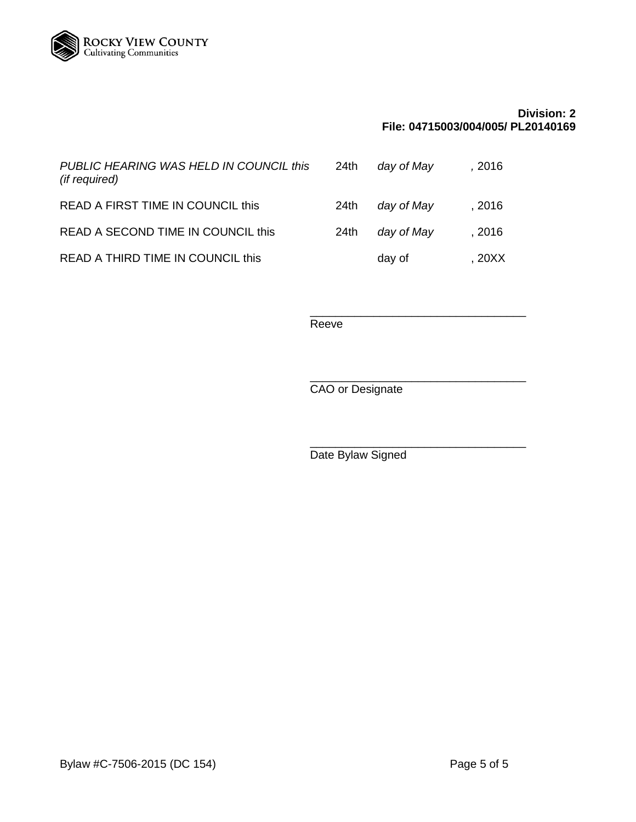

# **Division: 2 File: 04715003/004/005/ PL20140169**

| PUBLIC HEARING WAS HELD IN COUNCIL this<br>(if required) | 24th | day of May | , 2016 |
|----------------------------------------------------------|------|------------|--------|
| READ A FIRST TIME IN COUNCIL this                        | 24th | day of May | , 2016 |
| READ A SECOND TIME IN COUNCIL this                       | 24th | day of May | . 2016 |
| READ A THIRD TIME IN COUNCIL this                        |      | day of     | . 20XX |

\_\_\_\_\_\_\_\_\_\_\_\_\_\_\_\_\_\_\_\_\_\_\_\_\_\_\_\_\_\_\_\_\_\_ Reeve

\_\_\_\_\_\_\_\_\_\_\_\_\_\_\_\_\_\_\_\_\_\_\_\_\_\_\_\_\_\_\_\_\_\_ CAO or Designate

Date Bylaw Signed

\_\_\_\_\_\_\_\_\_\_\_\_\_\_\_\_\_\_\_\_\_\_\_\_\_\_\_\_\_\_\_\_\_\_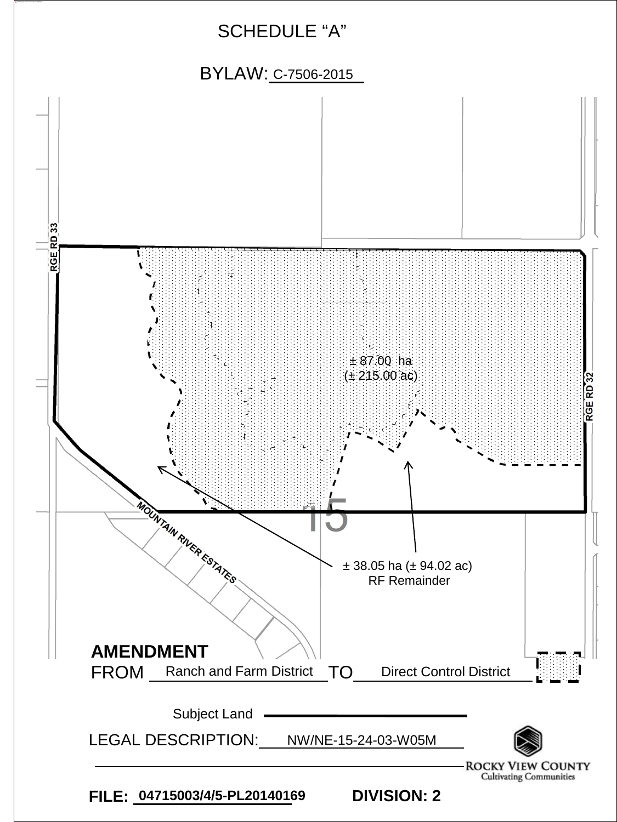